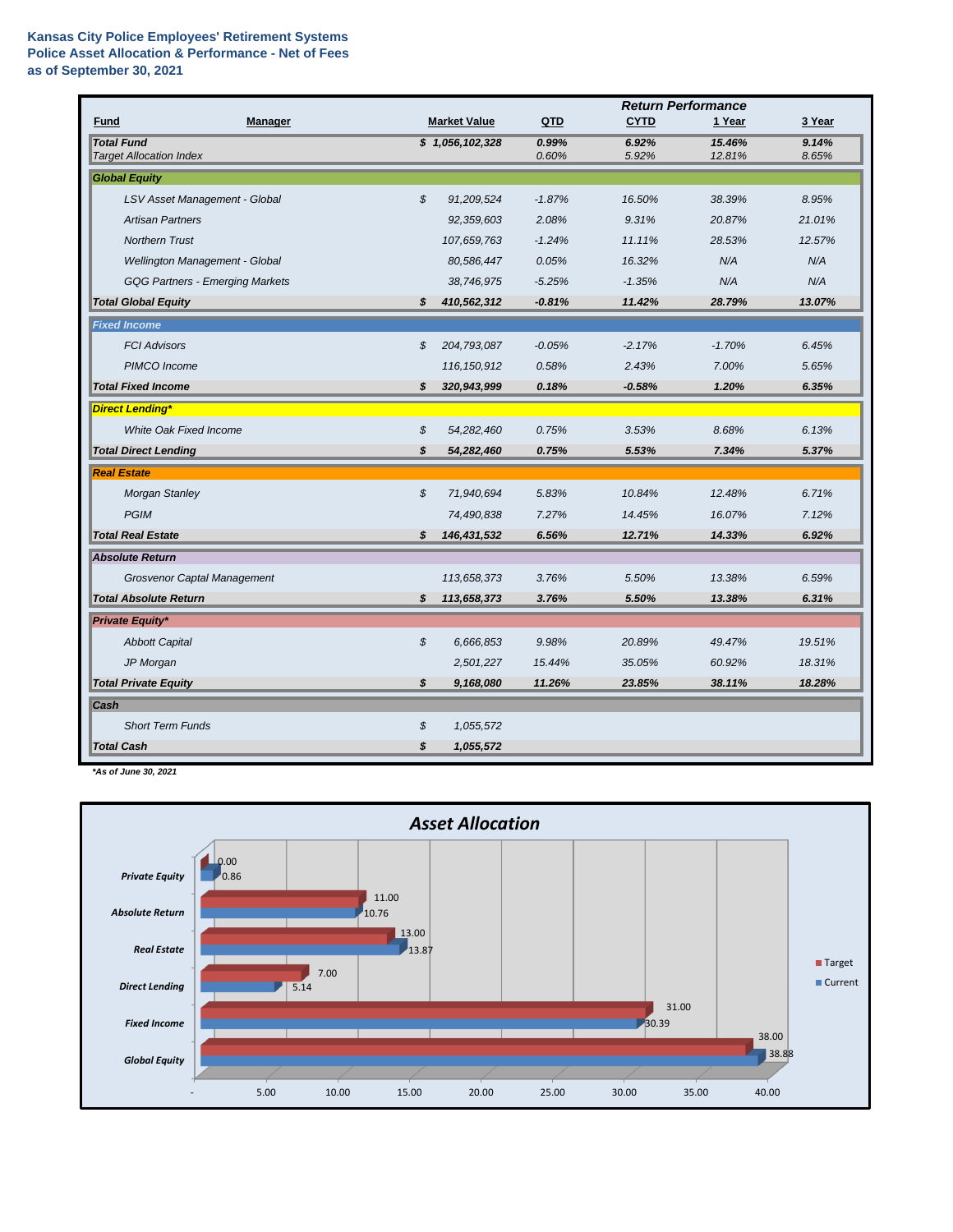## **Kansas City Police Employees' Retirement Systems Police Asset Allocation & Performance - Net of Fees as of September 30, 2021**

|                                                     |                |                     |                | <b>Return Performance</b> |                  |                |  |
|-----------------------------------------------------|----------------|---------------------|----------------|---------------------------|------------------|----------------|--|
| Fund<br><b>Manager</b>                              |                | <b>Market Value</b> | <b>QTD</b>     | <b>CYTD</b>               | 1 Year           | 3 Year         |  |
| <b>Total Fund</b><br><b>Target Allocation Index</b> |                | \$1,056,102,328     | 0.99%<br>0.60% | 6.92%<br>5.92%            | 15.46%<br>12.81% | 9.14%<br>8.65% |  |
| <b>Global Equity</b>                                |                |                     |                |                           |                  |                |  |
|                                                     |                |                     |                |                           |                  |                |  |
| LSV Asset Management - Global                       | $\mathfrak{s}$ | 91,209,524          | $-1.87%$       | 16.50%                    | 38.39%           | 8.95%          |  |
| <b>Artisan Partners</b>                             |                | 92,359,603          | 2.08%          | 9.31%                     | 20.87%           | 21.01%         |  |
| <b>Northern Trust</b>                               |                | 107,659,763         | $-1.24%$       | 11.11%                    | 28.53%           | 12.57%         |  |
| Wellington Management - Global                      |                | 80,586,447          | 0.05%          | 16.32%                    | N/A              | N/A            |  |
| <b>GQG Partners - Emerging Markets</b>              |                | 38,746,975          | $-5.25%$       | $-1.35%$                  | N/A              | N/A            |  |
| <b>Total Global Equity</b>                          | \$             | 410,562,312         | $-0.81%$       | 11.42%                    | 28.79%           | 13.07%         |  |
| <b>Fixed Income</b>                                 |                |                     |                |                           |                  |                |  |
| <b>FCI Advisors</b>                                 | \$             | 204,793,087         | $-0.05%$       | $-2.17%$                  | $-1.70%$         | 6.45%          |  |
| PIMCO Income                                        |                | 116, 150, 912       | 0.58%          | 2.43%                     | 7.00%            | 5.65%          |  |
| <b>Total Fixed Income</b>                           | \$             | 320,943,999         | 0.18%          | $-0.58%$                  | 1.20%            | 6.35%          |  |
| <b>Direct Lending*</b>                              |                |                     |                |                           |                  |                |  |
| <b>White Oak Fixed Income</b>                       | \$             | 54,282,460          | 0.75%          | 3.53%                     | 8.68%            | 6.13%          |  |
| <b>Total Direct Lending</b>                         | \$             | 54,282,460          | 0.75%          | 5.53%                     | 7.34%            | 5.37%          |  |
| <b>Real Estate</b>                                  |                |                     |                |                           |                  |                |  |
| <b>Morgan Stanley</b>                               | $\mathfrak{s}$ | 71,940,694          | 5.83%          | 10.84%                    | 12.48%           | 6.71%          |  |
| <b>PGIM</b>                                         |                | 74,490,838          | 7.27%          | 14.45%                    | 16.07%           | 7.12%          |  |
| <b>Total Real Estate</b>                            | \$             | 146,431,532         | 6.56%          | 12.71%                    | 14.33%           | 6.92%          |  |
| <b>Absolute Return</b>                              |                |                     |                |                           |                  |                |  |
| Grosvenor Captal Management                         |                | 113,658,373         | 3.76%          | 5.50%                     | 13.38%           | 6.59%          |  |
| <b>Total Absolute Return</b>                        | s              | 113,658,373         | 3.76%          | 5.50%                     | 13.38%           | 6.31%          |  |
| Private Equity*                                     |                |                     |                |                           |                  |                |  |
| <b>Abbott Capital</b>                               | \$             | 6,666,853           | 9.98%          | 20.89%                    | 49.47%           | 19.51%         |  |
| JP Morgan                                           |                | 2,501,227           | 15.44%         | 35.05%                    | 60.92%           | 18.31%         |  |
| <b>Total Private Equity</b>                         | \$             | 9,168,080           | 11.26%         | 23.85%                    | 38.11%           | 18.28%         |  |
| Cash                                                |                |                     |                |                           |                  |                |  |
| <b>Short Term Funds</b>                             | \$             | 1,055,572           |                |                           |                  |                |  |
| <b>Total Cash</b>                                   | \$             | 1,055,572           |                |                           |                  |                |  |

*\*As of June 30, 2021*